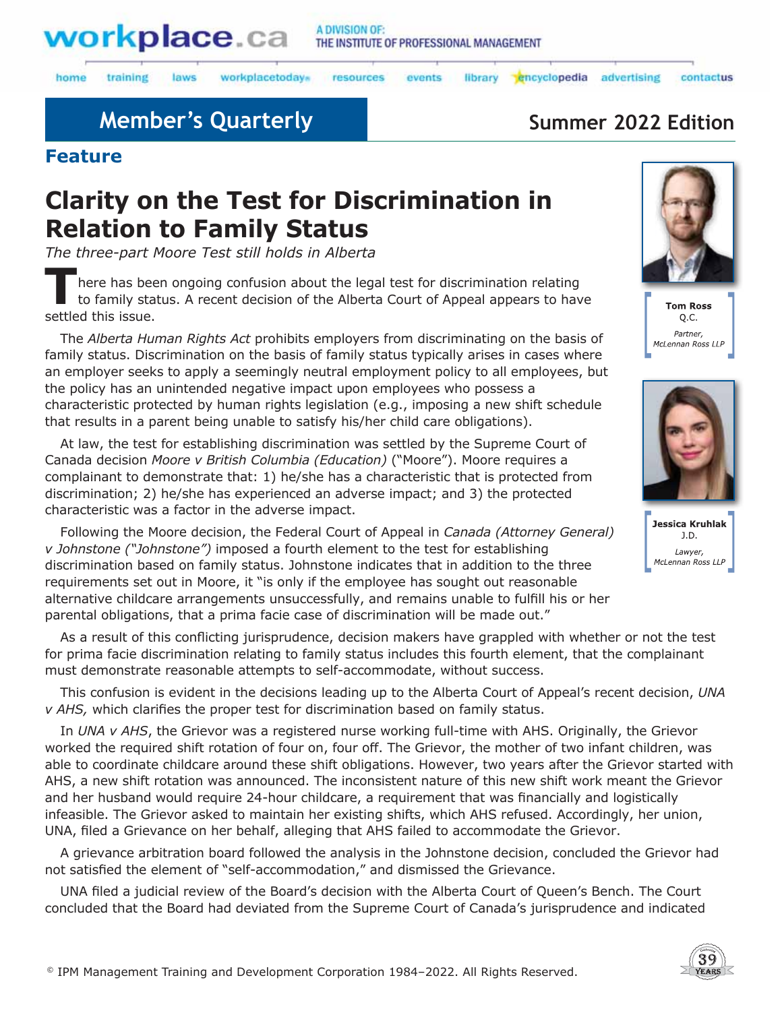

laws

#### A DIVISION OF: THE INSTITUTE OF PROFESSIONAL MANAGEMENT

home training workplacetodays

resources events library encyclopedia advertising

contactus

## **Member's Quarterly <b>Summer 2022 Edition**

**Feature**

# **Clarity on the Test for Discrimination in Relation to Family Status**

*The three-part Moore Test still holds in Alberta* 

TTTT here has been ongoing confusion about the legal test for discrimination relating to family status. A recent decision of the Alberta Court of Appeal appears to have settled this issue.

The *Alberta Human Rights Act* prohibits employers from discriminating on the basis of family status. Discrimination on the basis of family status typically arises in cases where an employer seeks to apply a seemingly neutral employment policy to all employees, but the policy has an unintended negative impact upon employees who possess a characteristic protected by human rights legislation (e.g., imposing a new shift schedule that results in a parent being unable to satisfy his/her child care obligations).

At law, the test for establishing discrimination was settled by the Supreme Court of Canada decision *Moore v British Columbia (Education)* ("Moore"). Moore requires a complainant to demonstrate that: 1) he/she has a characteristic that is protected from discrimination; 2) he/she has experienced an adverse impact; and 3) the protected characteristic was a factor in the adverse impact.

Following the Moore decision, the Federal Court of Appeal in *Canada (Attorney General) v Johnstone ("Johnstone")* imposed a fourth element to the test for establishing discrimination based on family status. Johnstone indicates that in addition to the three requirements set out in Moore, it "is only if the employee has sought out reasonable alternative childcare arrangements unsuccessfully, and remains unable to fulfill his or her parental obligations, that a prima facie case of discrimination will be made out."

As a result of this conflicting jurisprudence, decision makers have grappled with whether or not the test for prima facie discrimination relating to family status includes this fourth element, that the complainant must demonstrate reasonable attempts to self-accommodate, without success.

This confusion is evident in the decisions leading up to the Alberta Court of Appeal's recent decision, *UNA v AHS,* which clarifies the proper test for discrimination based on family status.

In *UNA v AHS*, the Grievor was a registered nurse working full-time with AHS. Originally, the Grievor worked the required shift rotation of four on, four off. The Grievor, the mother of two infant children, was able to coordinate childcare around these shift obligations. However, two years after the Grievor started with AHS, a new shift rotation was announced. The inconsistent nature of this new shift work meant the Grievor and her husband would require 24-hour childcare, a requirement that was financially and logistically infeasible. The Grievor asked to maintain her existing shifts, which AHS refused. Accordingly, her union, UNA, filed a Grievance on her behalf, alleging that AHS failed to accommodate the Grievor.

A grievance arbitration board followed the analysis in the Johnstone decision, concluded the Grievor had not satisfied the element of "self-accommodation," and dismissed the Grievance.

UNA filed a judicial review of the Board's decision with the Alberta Court of Queen's Bench. The Court concluded that the Board had deviated from the Supreme Court of Canada's jurisprudence and indicated



**Tom Ross** Q.C. Partner, McLennan Ross LLP



**Jessica Kruhlak** J.D. Lawyer, McLennan Ross LLP